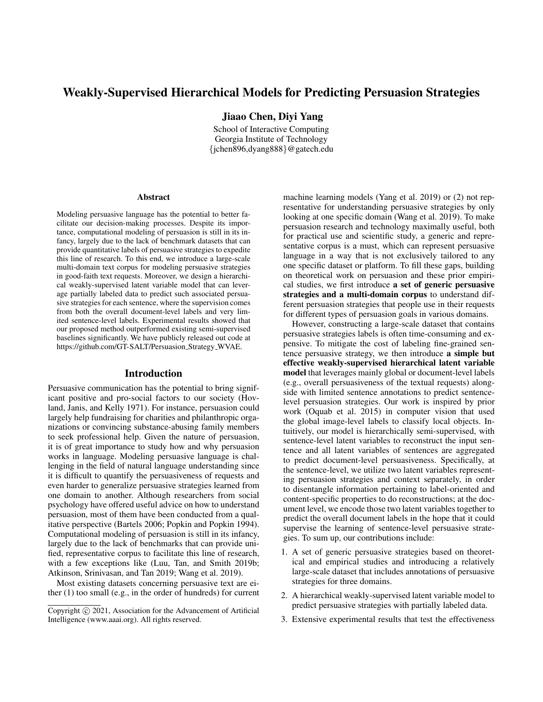# Weakly-Supervised Hierarchical Models for Predicting Persuasion Strategies

Jiaao Chen, Diyi Yang

School of Interactive Computing Georgia Institute of Technology {jchen896,dyang888}@gatech.edu

#### Abstract

Modeling persuasive language has the potential to better facilitate our decision-making processes. Despite its importance, computational modeling of persuasion is still in its infancy, largely due to the lack of benchmark datasets that can provide quantitative labels of persuasive strategies to expedite this line of research. To this end, we introduce a large-scale multi-domain text corpus for modeling persuasive strategies in good-faith text requests. Moreover, we design a hierarchical weakly-supervised latent variable model that can leverage partially labeled data to predict such associated persuasive strategies for each sentence, where the supervision comes from both the overall document-level labels and very limited sentence-level labels. Experimental results showed that our proposed method outperformed existing semi-supervised baselines significantly. We have publicly released out code at https://github.com/GT-SALT/Persuasion Strategy WVAE.

#### Introduction

Persuasive communication has the potential to bring significant positive and pro-social factors to our society (Hovland, Janis, and Kelly 1971). For instance, persuasion could largely help fundraising for charities and philanthropic organizations or convincing substance-abusing family members to seek professional help. Given the nature of persuasion, it is of great importance to study how and why persuasion works in language. Modeling persuasive language is challenging in the field of natural language understanding since it is difficult to quantify the persuasiveness of requests and even harder to generalize persuasive strategies learned from one domain to another. Although researchers from social psychology have offered useful advice on how to understand persuasion, most of them have been conducted from a qualitative perspective (Bartels 2006; Popkin and Popkin 1994). Computational modeling of persuasion is still in its infancy, largely due to the lack of benchmarks that can provide unified, representative corpus to facilitate this line of research, with a few exceptions like (Luu, Tan, and Smith 2019b; Atkinson, Srinivasan, and Tan 2019; Wang et al. 2019).

Most existing datasets concerning persuasive text are either (1) too small (e.g., in the order of hundreds) for current machine learning models (Yang et al. 2019) or (2) not representative for understanding persuasive strategies by only looking at one specific domain (Wang et al. 2019). To make persuasion research and technology maximally useful, both for practical use and scientific study, a generic and representative corpus is a must, which can represent persuasive language in a way that is not exclusively tailored to any one specific dataset or platform. To fill these gaps, building on theoretical work on persuasion and these prior empirical studies, we first introduce a set of generic persuasive strategies and a multi-domain corpus to understand different persuasion strategies that people use in their requests for different types of persuasion goals in various domains.

However, constructing a large-scale dataset that contains persuasive strategies labels is often time-consuming and expensive. To mitigate the cost of labeling fine-grained sentence persuasive strategy, we then introduce a simple but effective weakly-supervised hierarchical latent variable model that leverages mainly global or document-level labels (e.g., overall persuasiveness of the textual requests) alongside with limited sentence annotations to predict sentencelevel persuasion strategies. Our work is inspired by prior work (Oquab et al. 2015) in computer vision that used the global image-level labels to classify local objects. Intuitively, our model is hierarchically semi-supervised, with sentence-level latent variables to reconstruct the input sentence and all latent variables of sentences are aggregated to predict document-level persuasiveness. Specifically, at the sentence-level, we utilize two latent variables representing persuasion strategies and context separately, in order to disentangle information pertaining to label-oriented and content-specific properties to do reconstructions; at the document level, we encode those two latent variables together to predict the overall document labels in the hope that it could supervise the learning of sentence-level persuasive strategies. To sum up, our contributions include:

- 1. A set of generic persuasive strategies based on theoretical and empirical studies and introducing a relatively large-scale dataset that includes annotations of persuasive strategies for three domains.
- 2. A hierarchical weakly-supervised latent variable model to predict persuasive strategies with partially labeled data.
- 3. Extensive experimental results that test the effectiveness

Copyright (c) 2021, Association for the Advancement of Artificial Intelligence (www.aaai.org). All rights reserved.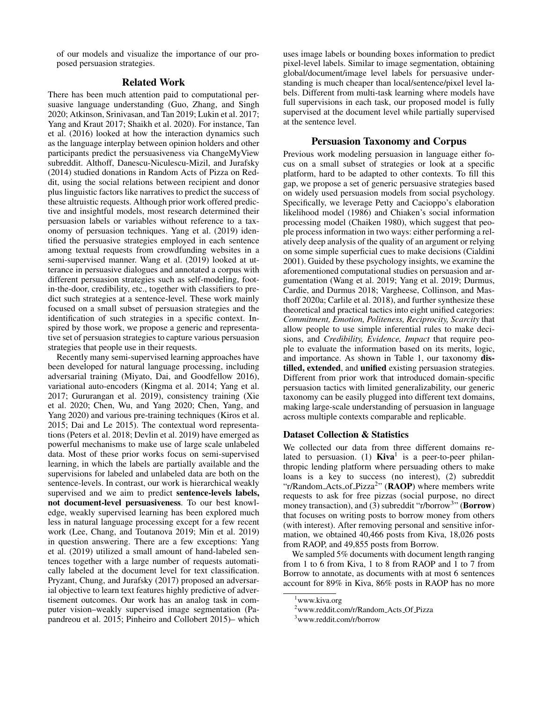of our models and visualize the importance of our proposed persuasion strategies.

# Related Work

There has been much attention paid to computational persuasive language understanding (Guo, Zhang, and Singh 2020; Atkinson, Srinivasan, and Tan 2019; Lukin et al. 2017; Yang and Kraut 2017; Shaikh et al. 2020). For instance, Tan et al. (2016) looked at how the interaction dynamics such as the language interplay between opinion holders and other participants predict the persuasiveness via ChangeMyView subreddit. Althoff, Danescu-Niculescu-Mizil, and Jurafsky (2014) studied donations in Random Acts of Pizza on Reddit, using the social relations between recipient and donor plus linguistic factors like narratives to predict the success of these altruistic requests. Although prior work offered predictive and insightful models, most research determined their persuasion labels or variables without reference to a taxonomy of persuasion techniques. Yang et al. (2019) identified the persuasive strategies employed in each sentence among textual requests from crowdfunding websites in a semi-supervised manner. Wang et al. (2019) looked at utterance in persuasive dialogues and annotated a corpus with different persuasion strategies such as self-modeling, footin-the-door, credibility, etc., together with classifiers to predict such strategies at a sentence-level. These work mainly focused on a small subset of persuasion strategies and the identification of such strategies in a specific context. Inspired by those work, we propose a generic and representative set of persuasion strategies to capture various persuasion strategies that people use in their requests.

Recently many semi-supervised learning approaches have been developed for natural language processing, including adversarial training (Miyato, Dai, and Goodfellow 2016), variational auto-encoders (Kingma et al. 2014; Yang et al. 2017; Gururangan et al. 2019), consistency training (Xie et al. 2020; Chen, Wu, and Yang 2020; Chen, Yang, and Yang 2020) and various pre-training techniques (Kiros et al. 2015; Dai and Le 2015). The contextual word representations (Peters et al. 2018; Devlin et al. 2019) have emerged as powerful mechanisms to make use of large scale unlabeled data. Most of these prior works focus on semi-supervised learning, in which the labels are partially available and the supervisions for labeled and unlabeled data are both on the sentence-levels. In contrast, our work is hierarchical weakly supervised and we aim to predict sentence-levels labels, not document-level persuasiveness. To our best knowledge, weakly supervised learning has been explored much less in natural language processing except for a few recent work (Lee, Chang, and Toutanova 2019; Min et al. 2019) in question answering. There are a few exceptions: Yang et al. (2019) utilized a small amount of hand-labeled sentences together with a large number of requests automatically labeled at the document level for text classification. Pryzant, Chung, and Jurafsky (2017) proposed an adversarial objective to learn text features highly predictive of advertisement outcomes. Our work has an analog task in computer vision–weakly supervised image segmentation (Papandreou et al. 2015; Pinheiro and Collobert 2015)– which

uses image labels or bounding boxes information to predict pixel-level labels. Similar to image segmentation, obtaining global/document/image level labels for persuasive understanding is much cheaper than local/sentence/pixel level labels. Different from multi-task learning where models have full supervisions in each task, our proposed model is fully supervised at the document level while partially supervised at the sentence level.

# Persuasion Taxonomy and Corpus

Previous work modeling persuasion in language either focus on a small subset of strategies or look at a specific platform, hard to be adapted to other contexts. To fill this gap, we propose a set of generic persuasive strategies based on widely used persuasion models from social psychology. Specifically, we leverage Petty and Cacioppo's elaboration likelihood model (1986) and Chiaken's social information processing model (Chaiken 1980), which suggest that people process information in two ways: either performing a relatively deep analysis of the quality of an argument or relying on some simple superficial cues to make decisions (Cialdini 2001). Guided by these psychology insights, we examine the aforementioned computational studies on persuasion and argumentation (Wang et al. 2019; Yang et al. 2019; Durmus, Cardie, and Durmus 2018; Vargheese, Collinson, and Masthoff 2020a; Carlile et al. 2018), and further synthesize these theoretical and practical tactics into eight unified categories: *Commitment, Emotion, Politeness, Reciprocity, Scarcity* that allow people to use simple inferential rules to make decisions, and *Credibility, Evidence, Impact* that require people to evaluate the information based on its merits, logic, and importance. As shown in Table 1, our taxonomy distilled, extended, and unified existing persuasion strategies. Different from prior work that introduced domain-specific persuasion tactics with limited generalizability, our generic taxonomy can be easily plugged into different text domains, making large-scale understanding of persuasion in language across multiple contexts comparable and replicable.

#### Dataset Collection & Statistics

We collected our data from three different domains related to persuasion. (1)  $\text{Kiva}^1$  is a peer-to-peer philanthropic lending platform where persuading others to make loans is a key to success (no interest), (2) subreddit "r/Random\_Acts\_of\_Pizza<sup>2</sup>" ( $\bf{RAOP}$ ) where members write requests to ask for free pizzas (social purpose, no direct money transaction), and (3) subreddit "r/borrow<sup>3</sup>" (Borrow) that focuses on writing posts to borrow money from others (with interest). After removing personal and sensitive information, we obtained 40,466 posts from Kiva, 18,026 posts from RAOP, and 49,855 posts from Borrow.

We sampled 5% documents with document length ranging from 1 to 6 from Kiva, 1 to 8 from RAOP and 1 to 7 from Borrow to annotate, as documents with at most 6 sentences account for 89% in Kiva, 86% posts in RAOP has no more

<sup>&</sup>lt;sup>1</sup>www.kiva.org

<sup>&</sup>lt;sup>2</sup>www.reddit.com/r/Random\_Acts\_Of\_Pizza

<sup>3</sup>www.reddit.com/r/borrow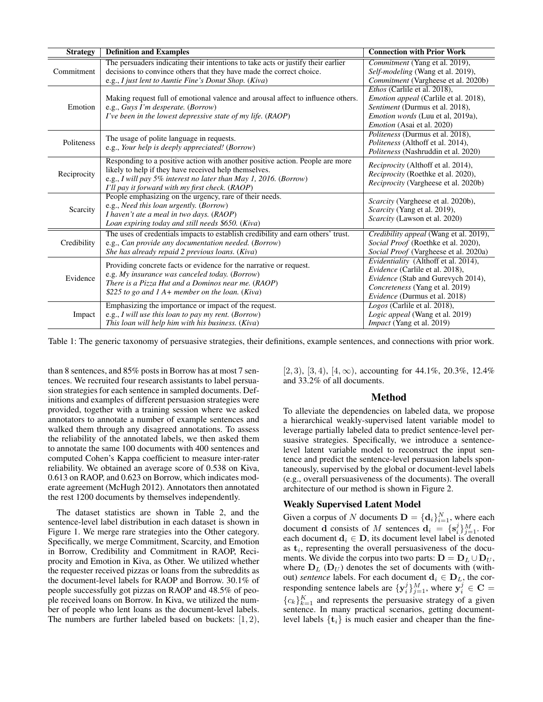| <b>Strategy</b> | <b>Definition and Examples</b>                                                                                                                                                                                                                                | <b>Connection with Prior Work</b>                                                                                                                                                                       |
|-----------------|---------------------------------------------------------------------------------------------------------------------------------------------------------------------------------------------------------------------------------------------------------------|---------------------------------------------------------------------------------------------------------------------------------------------------------------------------------------------------------|
| Commitment      | The persuaders indicating their intentions to take acts or justify their earlier<br>decisions to convince others that they have made the correct choice.<br>e.g., I just lent to Auntie Fine's Donut Shop. (Kiva)                                             | Commitment (Yang et al. 2019),<br>Self-modeling (Wang et al. 2019),<br>Commitment (Vargheese et al. 2020b)                                                                                              |
| Emotion         | Making request full of emotional valence and arousal affect to influence others.<br>e.g., Guys I'm desperate. (Borrow)<br>I've been in the lowest depressive state of my life. (RAOP)                                                                         | <i>Ethos</i> (Carlile et al. 2018),<br><i>Emotion appeal</i> (Carlile et al. 2018),<br>Sentiment (Durmus et al. 2018),<br><i>Emotion words</i> (Luu et al, 2019a),<br><i>Emotion</i> (Asai et al. 2020) |
| Politeness      | The usage of polite language in requests.<br>e.g., Your help is deeply appreciated! (Borrow)                                                                                                                                                                  | <i>Politeness</i> (Durmus et al. 2018),<br>Politeness (Althoff et al. 2014),<br>Politeness (Nashruddin et al. 2020)                                                                                     |
| Reciprocity     | Responding to a positive action with another positive action. People are more<br>likely to help if they have received help themselves.<br>e.g., I will pay 5% interest no later than May 1, 2016. (Borrow)<br>I'll pay it forward with my first check. (RAOP) | <i>Reciprocity</i> (Althoff et al. 2014),<br><i>Reciprocity</i> (Roethke et al. 2020),<br><i>Reciprocity</i> (Vargheese et al. 2020b)                                                                   |
| Scarcity        | People emphasizing on the urgency, rare of their needs.<br>e.g., Need this loan urgently. (Borrow)<br>I haven't ate a meal in two days. (RAOP)<br>Loan expiring today and still needs \$650. (Kiva)                                                           | Scarcity (Vargheese et al. 2020b),<br>Scarcity (Yang et al. 2019),<br>Scarcity (Lawson et al. 2020)                                                                                                     |
| Credibility     | The uses of credentials impacts to establish credibility and earn others' trust.<br>e.g., Can provide any documentation needed. (Borrow)<br>She has already repaid 2 previous loans. (Kiva)                                                                   | Credibility appeal (Wang et al. 2019),<br>Social Proof (Roethke et al. 2020),<br><i>Social Proof</i> (Vargheese et al. 2020a)                                                                           |
| Evidence        | Providing concrete facts or evidence for the narrative or request.<br>e.g. My insurance was canceled today. (Borrow)<br>There is a Pizza Hut and a Dominos near me. (RAOP)<br>\$225 to go and $1 A+$ member on the loan. (Kiva)                               | Evidentiality (Althoff et al. 2014),<br>Evidence (Carlile et al. 2018),<br>Evidence (Stab and Gurevych 2014),<br>Concreteness (Yang et al. 2019)<br><i>Evidence</i> (Durmus et al. 2018)                |
| Impact          | Emphasizing the importance or impact of the request.<br>e.g., I will use this loan to pay my rent. (Borrow)<br>This loan will help him with his business. (Kiva)                                                                                              | Logos (Carlile et al. 2018),<br>Logic appeal (Wang et al. 2019)<br>Impact (Yang et al. 2019)                                                                                                            |

Table 1: The generic taxonomy of persuasive strategies, their definitions, example sentences, and connections with prior work.

than 8 sentences, and 85% posts in Borrow has at most 7 sentences. We recruited four research assistants to label persuasion strategies for each sentence in sampled documents. Definitions and examples of different persuasion strategies were provided, together with a training session where we asked annotators to annotate a number of example sentences and walked them through any disagreed annotations. To assess the reliability of the annotated labels, we then asked them to annotate the same 100 documents with 400 sentences and computed Cohen's Kappa coefficient to measure inter-rater reliability. We obtained an average score of 0.538 on Kiva, 0.613 on RAOP, and 0.623 on Borrow, which indicates moderate agreement (McHugh 2012). Annotators then annotated the rest 1200 documents by themselves independently.

The dataset statistics are shown in Table 2, and the sentence-level label distribution in each dataset is shown in Figure 1. We merge rare strategies into the Other category. Specifically, we merge Commitment, Scarcity, and Emotion in Borrow, Credibility and Commitment in RAOP, Reciprocity and Emotion in Kiva, as Other. We utilized whether the requester received pizzas or loans from the subreddits as the document-level labels for RAOP and Borrow. 30.1% of people successfully got pizzas on RAOP and 48.5% of people received loans on Borrow. In Kiva, we utilized the number of people who lent loans as the document-level labels. The numbers are further labeled based on buckets:  $[1, 2)$ ,

[2, 3), [3, 4), [4,  $\infty$ ), accounting for 44.1%, 20.3%, 12.4% and 33.2% of all documents.

## Method

To alleviate the dependencies on labeled data, we propose a hierarchical weakly-supervised latent variable model to leverage partially labeled data to predict sentence-level persuasive strategies. Specifically, we introduce a sentencelevel latent variable model to reconstruct the input sentence and predict the sentence-level persuasion labels spontaneously, supervised by the global or document-level labels (e.g., overall persuasiveness of the documents). The overall architecture of our method is shown in Figure 2.

# Weakly Supervised Latent Model

Given a corpus of N documents  $\mathbf{D} = {\{\mathbf{d}_i\}}_{i=1}^N$ , where each document **d** consists of M sentences  $\mathbf{d}_i = \{ \mathbf{s}_i^j \}_{j=1}^M$ . For each document  $d_i \in D$ , its document level label is denoted as  $t_i$ , representing the overall persuasiveness of the documents. We divide the corpus into two parts:  $D = D_L \cup D_U$ , where  $D_L$  ( $D_U$ ) denotes the set of documents with (without) *sentence* labels. For each document  $\mathbf{d}_i \in \mathbf{D}_L$ , the corresponding sentence labels are  $\{y_i^j\}_{j=1}^M,$  where  $y_i^j \in \mathbf{C} =$  ${c_k}_{k=1}^K$  and represents the persuasive strategy of a given sentence. In many practical scenarios, getting documentlevel labels  $\{t_i\}$  is much easier and cheaper than the fine-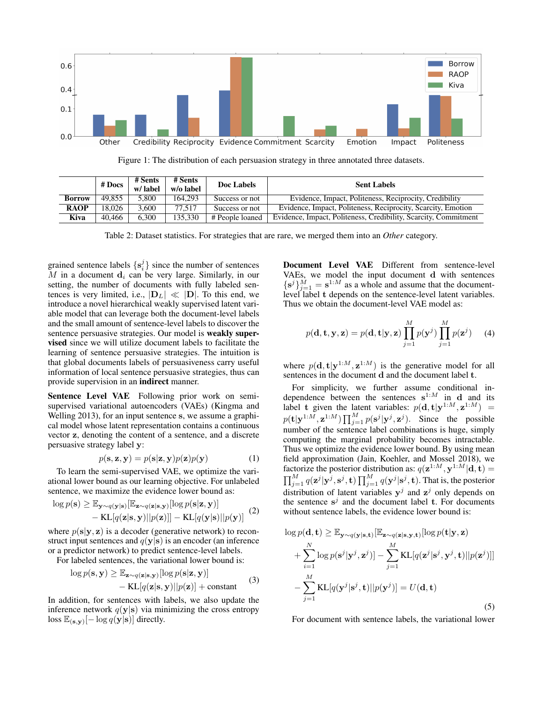

Figure 1: The distribution of each persuasion strategy in three annotated three datasets.

|               | # Docs | # Sents<br>w/label | # Sents<br>w/o label | Doc Labels      | <b>Sent Labels</b>                                              |
|---------------|--------|--------------------|----------------------|-----------------|-----------------------------------------------------------------|
| <b>Borrow</b> | 49.855 | 5.800              | 164.293              | Success or not  | Evidence, Impact, Politeness, Reciprocity, Credibility          |
| <b>RAOP</b>   | 18.026 | 3.600              | 77.517               | Success or not  | Evidence, Impact, Politeness, Reciprocity, Scarcity, Emotion    |
| Kiva          | 40.466 | 6.300              | 135.330              | # People loaned | Evidence, Impact, Politeness, Credibility, Scarcity, Commitment |

Table 2: Dataset statistics. For strategies that are rare, we merged them into an *Other* category.

grained sentence labels  $\{s_i^j\}$  since the number of sentences M in a document  $\mathbf{d}_i$  can be very large. Similarly, in our setting, the number of documents with fully labeled sentences is very limited, i.e.,  $|\mathbf{D}_L| \ll |\mathbf{D}|$ . To this end, we introduce a novel hierarchical weakly supervised latent variable model that can leverage both the document-level labels and the small amount of sentence-level labels to discover the sentence persuasive strategies. Our model is weakly supervised since we will utilize document labels to facilitate the learning of sentence persuasive strategies. The intuition is that global documents labels of persuasiveness carry useful information of local sentence persuasive strategies, thus can provide supervision in an indirect manner.

Sentence Level VAE Following prior work on semisupervised variational autoencoders (VAEs) (Kingma and Welling 2013), for an input sentence s, we assume a graphical model whose latent representation contains a continuous vector z, denoting the content of a sentence, and a discrete persuasive strategy label y:

$$
p(\mathbf{s}, \mathbf{z}, \mathbf{y}) = p(\mathbf{s}|\mathbf{z}, \mathbf{y})p(\mathbf{z})p(\mathbf{y})
$$
 (1)

To learn the semi-supervised VAE, we optimize the variational lower bound as our learning objective. For unlabeled sentence, we maximize the evidence lower bound as:

$$
\log p(\mathbf{s}) \geq \mathbb{E}_{\mathbf{y} \sim q(\mathbf{y}|\mathbf{s})} [\mathbb{E}_{\mathbf{z} \sim q(\mathbf{z}|\mathbf{s}, \mathbf{y})} [\log p(\mathbf{s}|\mathbf{z}, \mathbf{y})] - \text{KL}[q(\mathbf{z}|\mathbf{s}, \mathbf{y}) || p(\mathbf{z})]] - \text{KL}[q(\mathbf{y}|\mathbf{s}) || p(\mathbf{y})]
$$
(2)

where  $p(s|y, z)$  is a decoder (generative network) to reconstruct input sentences and  $q(y|s)$  is an encoder (an inference or a predictor network) to predict sentence-level labels.

For labeled sentences, the variational lower bound is:

$$
\log p(\mathbf{s}, \mathbf{y}) \ge \mathbb{E}_{\mathbf{z} \sim q(\mathbf{z}|\mathbf{s}, \mathbf{y})} [\log p(\mathbf{s}|\mathbf{z}, \mathbf{y})] - \text{KL}[q(\mathbf{z}|\mathbf{s}, \mathbf{y}) || p(\mathbf{z})] + \text{constant}
$$
 (3)

In addition, for sentences with labels, we also update the inference network  $q(y|s)$  via minimizing the cross entropy loss  $\mathbb{E}_{(\mathbf{s}, \mathbf{y})}[-\log q(\mathbf{y}|\mathbf{s})]$  directly.

Document Level VAE Different from sentence-level VAEs, we model the input document d with sentences  $\{s^j\}_{j=1}^M = s^{1:M}$  as a whole and assume that the documentlevel label t depends on the sentence-level latent variables. Thus we obtain the document-level VAE model as:

$$
p(\mathbf{d}, \mathbf{t}, \mathbf{y}, \mathbf{z}) = p(\mathbf{d}, \mathbf{t} | \mathbf{y}, \mathbf{z}) \prod_{j=1}^{M} p(\mathbf{y}^{j}) \prod_{j=1}^{M} p(\mathbf{z}^{j})
$$
 (4)

where  $p(\mathbf{d}, \mathbf{t} | \mathbf{y}^{1:M}, \mathbf{z}^{1:M})$  is the generative model for all sentences in the document d and the document label t.

For simplicity, we further assume conditional independence between the sentences  $s^{1:M}$  in d and its label t given the latent variables:  $p(\mathbf{d}, \mathbf{t} | \mathbf{y}^{1:M}, \mathbf{z}^{1:M}) =$  $p(\mathbf{t}|\mathbf{y}^{1:M},\mathbf{z}^{1:M})\prod_{j=1}^{M}p(\mathbf{s}^{j}|\mathbf{y}^{j},\mathbf{z}^{j}).$  Since the possible number of the sentence label combinations is huge, simply computing the marginal probability becomes intractable. Thus we optimize the evidence lower bound. By using mean field approximation (Jain, Koehler, and Mossel 2018), we factorize the posterior distribution as:  $q(\mathbf{z}^{1:M}, \mathbf{y}^{1:M}|\mathbf{d}, \mathbf{t}) =$  $\prod_{j=1}^M q(\mathbf{z}^j | \mathbf{y}^j, \mathbf{s}^j, \mathbf{t}) \prod_{j=1}^M q(\mathbf{y}^j | \mathbf{s}^j, \mathbf{t})$ . That is, the posterior distribution of latent variables  $y^j$  and  $z^j$  only depends on the sentence  $s^j$  and the document label  $t$ . For documents without sentence labels, the evidence lower bound is:

$$
\log p(\mathbf{d}, \mathbf{t}) \geq \mathbb{E}_{\mathbf{y} \sim q(\mathbf{y}|\mathbf{s}, \mathbf{t})} [\mathbb{E}_{\mathbf{z} \sim q(\mathbf{z}|\mathbf{s}, \mathbf{y}, \mathbf{t})} [\log p(\mathbf{t}|\mathbf{y}, \mathbf{z}) + \sum_{i=1}^{N} \log p(\mathbf{s}^{j}|\mathbf{y}^{j}, \mathbf{z}^{j})] - \sum_{j=1}^{M} \text{KL}[q(\mathbf{z}^{j}|\mathbf{s}^{j}, \mathbf{y}^{j}, \mathbf{t}) || p(\mathbf{z}^{j})]] - \sum_{j=1}^{M} \text{KL}[q(\mathbf{y}^{j}|\mathbf{s}^{j}, \mathbf{t}) || p(\mathbf{y}^{j})] = U(\mathbf{d}, \mathbf{t})
$$
\n(5)

For document with sentence labels, the variational lower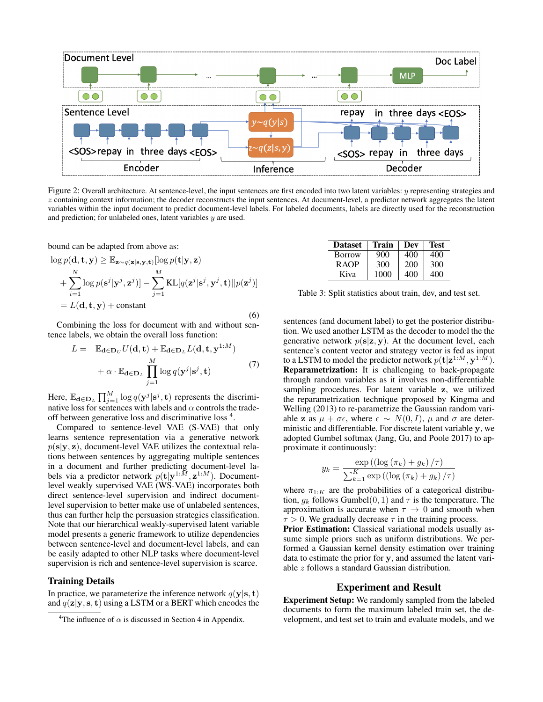

Figure 2: Overall architecture. At sentence-level, the input sentences are first encoded into two latent variables:  $y$  representing strategies and z containing context information; the decoder reconstructs the input sentences. At document-level, a predictor network aggregates the latent variables within the input document to predict document-level labels. For labeled documents, labels are directly used for the reconstruction and prediction; for unlabeled ones, latent variables y are used.

bound can be adapted from above as:

$$
\log p(\mathbf{d}, \mathbf{t}, \mathbf{y}) \geq \mathbb{E}_{\mathbf{z} \sim q(\mathbf{z}|\mathbf{s}, \mathbf{y}, \mathbf{t})}[\log p(\mathbf{t}|\mathbf{y}, \mathbf{z}) + \sum_{i=1}^{N} \log p(\mathbf{s}^{j}|\mathbf{y}^{j}, \mathbf{z}^{j})] - \sum_{j=1}^{M} \text{KL}[q(\mathbf{z}^{j}|\mathbf{s}^{j}, \mathbf{y}^{j}, \mathbf{t})||p(\mathbf{z}^{j})] = L(\mathbf{d}, \mathbf{t}, \mathbf{y}) + \text{constant}
$$
\n(6)

Combining the loss for document with and without sentence labels, we obtain the overall loss function:

$$
L = \mathbb{E}_{\mathbf{d} \in \mathbf{D}_U} U(\mathbf{d}, \mathbf{t}) + \mathbb{E}_{\mathbf{d} \in \mathbf{D}_L} L(\mathbf{d}, \mathbf{t}, \mathbf{y}^{1:M})
$$
  
+  $\alpha \cdot \mathbb{E}_{\mathbf{d} \in \mathbf{D}_L} \prod_{j=1}^{M} \log q(\mathbf{y}^j | \mathbf{s}^j, \mathbf{t})$  (7)

Here,  $\mathbb{E}_{\mathbf{d}\in \mathbf{D}_L} \prod_{j=1}^M \log q(\mathbf{y}^j | \mathbf{s}^j, \mathbf{t})$  represents the discriminative loss for sentences with labels and  $\alpha$  controls the tradeoff between generative loss and discriminative loss <sup>4</sup>.

Compared to sentence-level VAE (S-VAE) that only learns sentence representation via a generative network  $p(s|\mathbf{y}, \mathbf{z})$ , document-level VAE utilizes the contextual relations between sentences by aggregating multiple sentences in a document and further predicting document-level labels via a predictor network  $p(\mathbf{t}|\mathbf{y}^{1:M}, \mathbf{z}^{1:M})$ . Documentlevel weakly supervised VAE (WS-VAE) incorporates both direct sentence-level supervision and indirect documentlevel supervision to better make use of unlabeled sentences, thus can further help the persuasion strategies classification. Note that our hierarchical weakly-supervised latent variable model presents a generic framework to utilize dependencies between sentence-level and document-level labels, and can be easily adapted to other NLP tasks where document-level supervision is rich and sentence-level supervision is scarce.

#### Training Details

In practice, we parameterize the inference network  $q(\mathbf{y}|\mathbf{s}, \mathbf{t})$ and  $q(\mathbf{z}|\mathbf{y}, \mathbf{s}, \mathbf{t})$  using a LSTM or a BERT which encodes the

| Dataset       | Train | Dev | <b>Test</b> |
|---------------|-------|-----|-------------|
| <b>Borrow</b> | 900   | 400 | 400         |
| R AOP         | 300   | 200 | 300         |
| Kiva          | 1000  | 400 | 400         |

Table 3: Split statistics about train, dev, and test set.

sentences (and document label) to get the posterior distribution. We used another LSTM as the decoder to model the the generative network  $p(s|z, y)$ . At the document level, each sentence's content vector and strategy vector is fed as input to a LSTM to model the predictor network  $p(\mathbf{t}|\mathbf{z}^{1:M}, \mathbf{y}^{1:M}).$ Reparametrization: It is challenging to back-propagate through random variables as it involves non-differentiable sampling procedures. For latent variable z, we utilized the reparametrization technique proposed by Kingma and Welling (2013) to re-parametrize the Gaussian random variable z as  $\mu + \sigma \epsilon$ , where  $\epsilon \sim N(0, I)$ ,  $\mu$  and  $\sigma$  are deterministic and differentiable. For discrete latent variable y, we adopted Gumbel softmax (Jang, Gu, and Poole 2017) to approximate it continuously:

$$
y_k = \frac{\exp\left(\left(\log\left(\pi_k\right) + g_k\right)/\tau\right)}{\sum_{k=1}^K \exp\left(\left(\log\left(\pi_k\right) + g_k\right)/\tau\right)}
$$

where  $\pi_{1:K}$  are the probabilities of a categorical distribution,  $g_k$  follows Gumbel $(0, 1)$  and  $\tau$  is the temperature. The approximation is accurate when  $\tau \to 0$  and smooth when  $\tau > 0$ . We gradually decrease  $\tau$  in the training process.

Prior Estimation: Classical variational models usually assume simple priors such as uniform distributions. We performed a Gaussian kernel density estimation over training data to estimate the prior for y, and assumed the latent variable z follows a standard Gaussian distribution.

# Experiment and Result

Experiment Setup: We randomly sampled from the labeled documents to form the maximum labeled train set, the development, and test set to train and evaluate models, and we

<sup>&</sup>lt;sup>4</sup>The influence of  $\alpha$  is discussed in Section 4 in Appendix.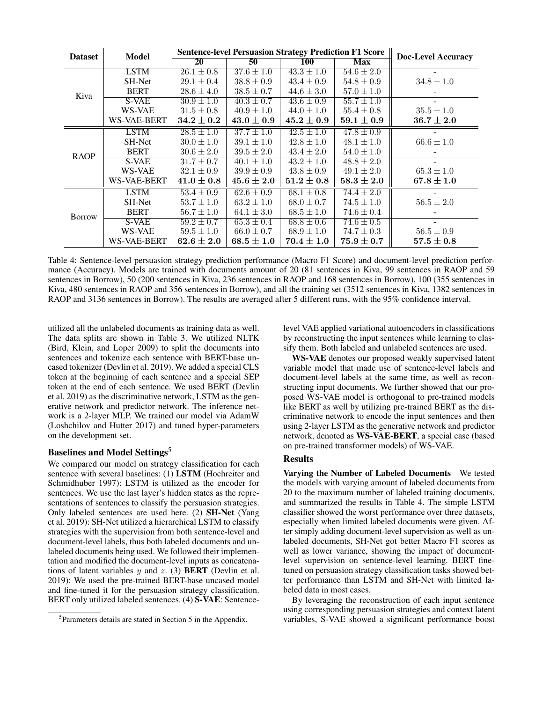| Model<br><b>Dataset</b> |             | <b>Sentence-level Persuasion Strategy Prediction F1 Score</b> |                |                |                | <b>Doc-Level Accuracy</b> |
|-------------------------|-------------|---------------------------------------------------------------|----------------|----------------|----------------|---------------------------|
|                         |             | <b>20</b>                                                     | 50             | <b>100</b>     | <b>Max</b>     |                           |
| Kiva                    | <b>LSTM</b> | $26.1 \pm 0.8$                                                | $37.6 \pm 1.0$ | $43.3 \pm 1.0$ | $54.6 \pm 2.0$ |                           |
|                         | SH-Net      | $29.1 \pm 0.4$                                                | $38.8 \pm 0.9$ | $43.4 \pm 0.9$ | $54.8 \pm 0.9$ | $34.8 \pm 1.0$            |
|                         | <b>BERT</b> | $28.6 \pm 4.0$                                                | $38.5 \pm 0.7$ | $44.6 \pm 3.0$ | $57.0 \pm 1.0$ |                           |
|                         | S-VAE       | $30.9 \pm 1.0$                                                | $40.3 \pm 0.7$ | $43.6 \pm 0.9$ | $55.7 \pm 1.0$ |                           |
|                         | WS-VAE      | $31.5 \pm 0.8$                                                | $40.9 \pm 1.0$ | $44.0 \pm 1.0$ | $55.4 \pm 0.8$ | $35.5 \pm 1.0$            |
|                         | WS-VAE-BERT | $34.2 \pm 0.2$                                                | $43.0 \pm 0.9$ | $45.2 \pm 0.9$ | $59.1 \pm 0.9$ | $36.7 \pm 2.0$            |
| <b>RAOP</b>             | <b>LSTM</b> | $28.5 \pm 1.0$                                                | $37.7 \pm 1.0$ | $42.5 \pm 1.0$ | $47.8 \pm 0.9$ |                           |
|                         | SH-Net      | $30.0 \pm 1.0$                                                | $39.1 \pm 1.0$ | $42.8 \pm 1.0$ | $48.1 \pm 1.0$ | $66.6 \pm 1.0$            |
|                         | <b>BERT</b> | $30.6 \pm 2.0$                                                | $39.5 \pm 2.0$ | $43.4 \pm 2.0$ | $54.0 \pm 1.0$ |                           |
|                         | S-VAE       | $31.7 \pm 0.7$                                                | $40.1 \pm 1.0$ | $43.2 \pm 1.0$ | $48.8 \pm 2.0$ |                           |
|                         | WS-VAE      | $32.1 \pm 0.9$                                                | $39.9 \pm 0.9$ | $43.8 \pm 0.9$ | $49.1 \pm 2.0$ | $65.3 \pm 1.0$            |
|                         | WS-VAE-BERT | $41.0\pm0.8$                                                  | $45.6 \pm 2.0$ | $51.2 \pm 0.8$ | $58.3 \pm 2.0$ | $67.8 \pm 1.0$            |
| <b>Borrow</b>           | <b>LSTM</b> | $53.4 \pm 0.9$                                                | $62.6 \pm 0.9$ | $68.1 \pm 0.8$ | $74.4 \pm 2.0$ |                           |
|                         | SH-Net      | $53.7 \pm 1.0$                                                | $63.2 \pm 1.0$ | $68.0 \pm 0.7$ | $74.5 \pm 1.0$ | $56.5 \pm 2.0$            |
|                         | <b>BERT</b> | $56.7 \pm 1.0$                                                | $64.1 \pm 3.0$ | $68.5 \pm 1.0$ | $74.6 \pm 0.4$ |                           |
|                         | S-VAE       | $\sqrt{59.2} \pm 0.7$                                         | $65.3 \pm 0.4$ | $68.8 \pm 0.6$ | $74.6 \pm 0.5$ |                           |
|                         | WS-VAE      | $59.5 \pm 1.0$                                                | $66.0 \pm 0.7$ | $68.9 \pm 1.0$ | $74.7 \pm 0.3$ | $56.5 \pm 0.9$            |
|                         | WS-VAE-BERT | $62.6 \pm 2.0$                                                | $68.5 \pm 1.0$ | $70.4 \pm 1.0$ | $75.9 \pm 0.7$ | $57.5 \pm 0.8$            |

Table 4: Sentence-level persuasion strategy prediction performance (Macro F1 Score) and document-level prediction performance (Accuracy). Models are trained with documents amount of 20 (81 sentences in Kiva, 99 sentences in RAOP and 59 sentences in Borrow), 50 (200 sentences in Kiva, 236 sentences in RAOP and 168 sentences in Borrow), 100 (355 sentences in Kiva, 480 sentences in RAOP and 356 sentences in Borrow), and all the training set (3512 sentences in Kiva, 1382 sentences in RAOP and 3136 sentences in Borrow). The results are averaged after 5 different runs, with the 95% confidence interval.

utilized all the unlabeled documents as training data as well. The data splits are shown in Table 3. We utilized NLTK (Bird, Klein, and Loper 2009) to split the documents into sentences and tokenize each sentence with BERT-base uncased tokenizer (Devlin et al. 2019). We added a special CLS token at the beginning of each sentence and a special SEP token at the end of each sentence. We used BERT (Devlin et al. 2019) as the discriminative network, LSTM as the generative network and predictor network. The inference network is a 2-layer MLP. We trained our model via AdamW (Loshchilov and Hutter 2017) and tuned hyper-parameters on the development set.

## Baselines and Model Settings<sup>5</sup>

We compared our model on strategy classification for each sentence with several baselines: (1) LSTM (Hochreiter and Schmidhuber 1997): LSTM is utilized as the encoder for sentences. We use the last layer's hidden states as the representations of sentences to classify the persuasion strategies. Only labeled sentences are used here. (2) SH-Net (Yang et al. 2019): SH-Net utilized a hierarchical LSTM to classify strategies with the supervision from both sentence-level and document-level labels, thus both labeled documents and unlabeled documents being used. We followed their implementation and modified the document-level inputs as concatenations of latent variables  $y$  and  $z$ . (3) **BERT** (Devlin et al. 2019): We used the pre-trained BERT-base uncased model and fine-tuned it for the persuasion strategy classification. BERT only utilized labeled sentences. (4) S-VAE: Sentencelevel VAE applied variational autoencoders in classifications by reconstructing the input sentences while learning to classify them. Both labeled and unlabeled sentences are used.

WS-VAE denotes our proposed weakly supervised latent variable model that made use of sentence-level labels and document-level labels at the same time, as well as reconstructing input documents. We further showed that our proposed WS-VAE model is orthogonal to pre-trained models like BERT as well by utilizing pre-trained BERT as the discriminative network to encode the input sentences and then using 2-layer LSTM as the generative network and predictor network, denoted as WS-VAE-BERT, a special case (based on pre-trained transformer models) of WS-VAE.

## Results

Varying the Number of Labeled Documents We tested the models with varying amount of labeled documents from 20 to the maximum number of labeled training documents, and summarized the results in Table 4. The simple LSTM classifier showed the worst performance over three datasets, especially when limited labeled documents were given. After simply adding document-level supervision as well as unlabeled documents, SH-Net got better Macro F1 scores as well as lower variance, showing the impact of documentlevel supervision on sentence-level learning. BERT finetuned on persuasion strategy classification tasks showed better performance than LSTM and SH-Net with limited labeled data in most cases.

By leveraging the reconstruction of each input sentence using corresponding persuasion strategies and context latent variables, S-VAE showed a significant performance boost

<sup>&</sup>lt;sup>5</sup>Parameters details are stated in Section 5 in the Appendix.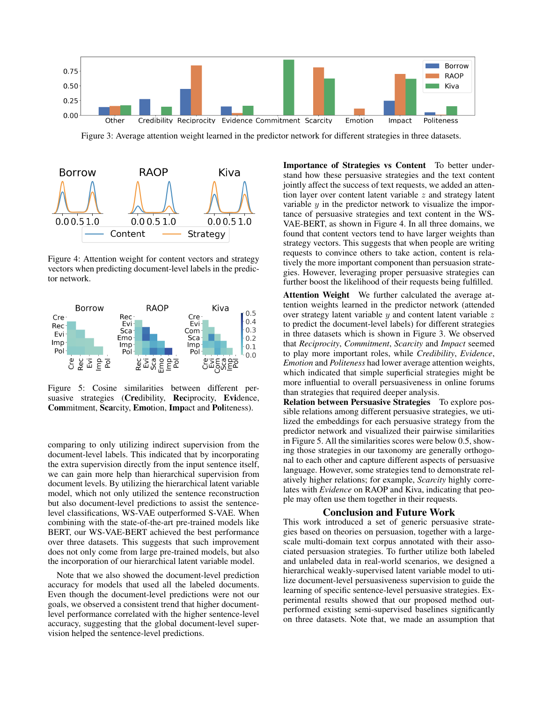

Figure 3: Average attention weight learned in the predictor network for different strategies in three datasets.



Figure 4: Attention weight for content vectors and strategy vectors when predicting document-level labels in the predictor network.



Figure 5: Cosine similarities between different persuasive strategies (Credibility, Reciprocity, Evidence, Commitment, Scarcity, Emotion, Impact and Politeness).

comparing to only utilizing indirect supervision from the document-level labels. This indicated that by incorporating the extra supervision directly from the input sentence itself, we can gain more help than hierarchical supervision from document levels. By utilizing the hierarchical latent variable model, which not only utilized the sentence reconstruction but also document-level predictions to assist the sentencelevel classifications, WS-VAE outperformed S-VAE. When combining with the state-of-the-art pre-trained models like BERT, our WS-VAE-BERT achieved the best performance over three datasets. This suggests that such improvement does not only come from large pre-trained models, but also the incorporation of our hierarchical latent variable model.

Note that we also showed the document-level prediction accuracy for models that used all the labeled documents. Even though the document-level predictions were not our goals, we observed a consistent trend that higher documentlevel performance correlated with the higher sentence-level accuracy, suggesting that the global document-level supervision helped the sentence-level predictions.

Importance of Strategies vs Content To better understand how these persuasive strategies and the text content jointly affect the success of text requests, we added an attention layer over content latent variable z and strategy latent variable  $y$  in the predictor network to visualize the importance of persuasive strategies and text content in the WS-VAE-BERT, as shown in Figure 4. In all three domains, we found that content vectors tend to have larger weights than strategy vectors. This suggests that when people are writing requests to convince others to take action, content is relatively the more important component than persuasion strategies. However, leveraging proper persuasive strategies can further boost the likelihood of their requests being fulfilled.

Attention Weight We further calculated the average attention weights learned in the predictor network (attended over strategy latent variable  $y$  and content latent variable  $z$ to predict the document-level labels) for different strategies in three datasets which is shown in Figure 3. We observed that *Reciprocity*, *Commitment*, *Scarcity* and *Impact* seemed to play more important roles, while *Credibility*, *Evidence*, *Emotion* and *Politeness* had lower average attention weights, which indicated that simple superficial strategies might be more influential to overall persuasiveness in online forums than strategies that required deeper analysis.

Relation between Persuasive Strategies To explore possible relations among different persuasive strategies, we utilized the embeddings for each persuasive strategy from the predictor network and visualized their pairwise similarities in Figure 5. All the similarities scores were below 0.5, showing those strategies in our taxonomy are generally orthogonal to each other and capture different aspects of persuasive language. However, some strategies tend to demonstrate relatively higher relations; for example, *Scarcity* highly correlates with *Evidence* on RAOP and Kiva, indicating that people may often use them together in their requests.

### Conclusion and Future Work

This work introduced a set of generic persuasive strategies based on theories on persuasion, together with a largescale multi-domain text corpus annotated with their associated persuasion strategies. To further utilize both labeled and unlabeled data in real-world scenarios, we designed a hierarchical weakly-supervised latent variable model to utilize document-level persuasiveness supervision to guide the learning of specific sentence-level persuasive strategies. Experimental results showed that our proposed method outperformed existing semi-supervised baselines significantly on three datasets. Note that, we made an assumption that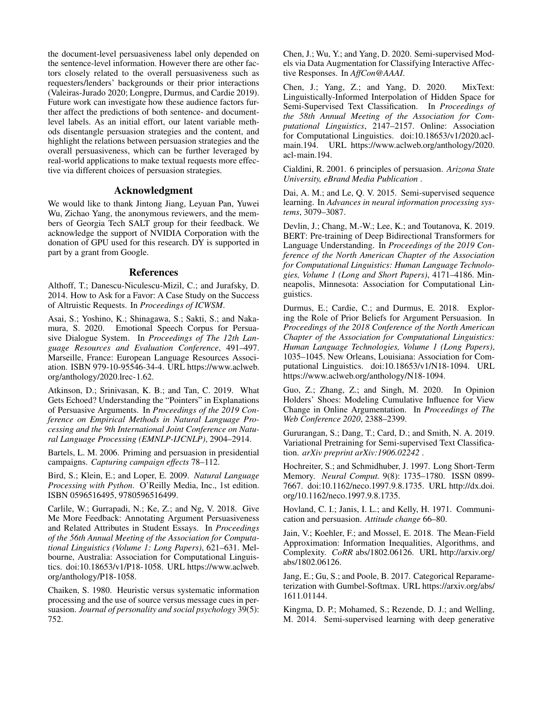the document-level persuasiveness label only depended on the sentence-level information. However there are other factors closely related to the overall persuasiveness such as requesters/lenders' backgrounds or their prior interactions (Valeiras-Jurado 2020; Longpre, Durmus, and Cardie 2019). Future work can investigate how these audience factors further affect the predictions of both sentence- and documentlevel labels. As an initial effort, our latent variable methods disentangle persuasion strategies and the content, and highlight the relations between persuasion strategies and the overall persuasiveness, which can be further leveraged by real-world applications to make textual requests more effective via different choices of persuasion strategies.

# Acknowledgment

We would like to thank Jintong Jiang, Leyuan Pan, Yuwei Wu, Zichao Yang, the anonymous reviewers, and the members of Georgia Tech SALT group for their feedback. We acknowledge the support of NVIDIA Corporation with the donation of GPU used for this research. DY is supported in part by a grant from Google.

# References

Althoff, T.; Danescu-Niculescu-Mizil, C.; and Jurafsky, D. 2014. How to Ask for a Favor: A Case Study on the Success of Altruistic Requests. In *Proceedings of ICWSM*.

Asai, S.; Yoshino, K.; Shinagawa, S.; Sakti, S.; and Nakamura, S. 2020. Emotional Speech Corpus for Persuasive Dialogue System. In *Proceedings of The 12th Language Resources and Evaluation Conference*, 491–497. Marseille, France: European Language Resources Association. ISBN 979-10-95546-34-4. URL https://www.aclweb. org/anthology/2020.lrec-1.62.

Atkinson, D.; Srinivasan, K. B.; and Tan, C. 2019. What Gets Echoed? Understanding the "Pointers" in Explanations of Persuasive Arguments. In *Proceedings of the 2019 Conference on Empirical Methods in Natural Language Processing and the 9th International Joint Conference on Natural Language Processing (EMNLP-IJCNLP)*, 2904–2914.

Bartels, L. M. 2006. Priming and persuasion in presidential campaigns. *Capturing campaign effects* 78–112.

Bird, S.; Klein, E.; and Loper, E. 2009. *Natural Language Processing with Python*. O'Reilly Media, Inc., 1st edition. ISBN 0596516495, 9780596516499.

Carlile, W.; Gurrapadi, N.; Ke, Z.; and Ng, V. 2018. Give Me More Feedback: Annotating Argument Persuasiveness and Related Attributes in Student Essays. In *Proceedings of the 56th Annual Meeting of the Association for Computational Linguistics (Volume 1: Long Papers)*, 621–631. Melbourne, Australia: Association for Computational Linguistics. doi:10.18653/v1/P18-1058. URL https://www.aclweb. org/anthology/P18-1058.

Chaiken, S. 1980. Heuristic versus systematic information processing and the use of source versus message cues in persuasion. *Journal of personality and social psychology* 39(5): 752.

Chen, J.; Wu, Y.; and Yang, D. 2020. Semi-supervised Models via Data Augmentation for Classifying Interactive Affective Responses. In *AffCon@AAAI*.

Chen, J.; Yang, Z.; and Yang, D. 2020. MixText: Linguistically-Informed Interpolation of Hidden Space for Semi-Supervised Text Classification. In *Proceedings of the 58th Annual Meeting of the Association for Computational Linguistics*, 2147–2157. Online: Association for Computational Linguistics. doi:10.18653/v1/2020.aclmain.194. URL https://www.aclweb.org/anthology/2020. acl-main.194.

Cialdini, R. 2001. 6 principles of persuasion. *Arizona State University, eBrand Media Publication* .

Dai, A. M.; and Le, Q. V. 2015. Semi-supervised sequence learning. In *Advances in neural information processing systems*, 3079–3087.

Devlin, J.; Chang, M.-W.; Lee, K.; and Toutanova, K. 2019. BERT: Pre-training of Deep Bidirectional Transformers for Language Understanding. In *Proceedings of the 2019 Conference of the North American Chapter of the Association for Computational Linguistics: Human Language Technologies, Volume 1 (Long and Short Papers)*, 4171–4186. Minneapolis, Minnesota: Association for Computational Linguistics.

Durmus, E.; Cardie, C.; and Durmus, E. 2018. Exploring the Role of Prior Beliefs for Argument Persuasion. In *Proceedings of the 2018 Conference of the North American Chapter of the Association for Computational Linguistics: Human Language Technologies, Volume 1 (Long Papers)*, 1035–1045. New Orleans, Louisiana: Association for Computational Linguistics. doi:10.18653/v1/N18-1094. URL https://www.aclweb.org/anthology/N18-1094.

Guo, Z.; Zhang, Z.; and Singh, M. 2020. In Opinion Holders' Shoes: Modeling Cumulative Influence for View Change in Online Argumentation. In *Proceedings of The Web Conference 2020*, 2388–2399.

Gururangan, S.; Dang, T.; Card, D.; and Smith, N. A. 2019. Variational Pretraining for Semi-supervised Text Classification. *arXiv preprint arXiv:1906.02242* .

Hochreiter, S.; and Schmidhuber, J. 1997. Long Short-Term Memory. *Neural Comput.* 9(8): 1735–1780. ISSN 0899- 7667. doi:10.1162/neco.1997.9.8.1735. URL http://dx.doi. org/10.1162/neco.1997.9.8.1735.

Hovland, C. I.; Janis, I. L.; and Kelly, H. 1971. Communication and persuasion. *Attitude change* 66–80.

Jain, V.; Koehler, F.; and Mossel, E. 2018. The Mean-Field Approximation: Information Inequalities, Algorithms, and Complexity. *CoRR* abs/1802.06126. URL http://arxiv.org/ abs/1802.06126.

Jang, E.; Gu, S.; and Poole, B. 2017. Categorical Reparameterization with Gumbel-Softmax. URL https://arxiv.org/abs/ 1611.01144.

Kingma, D. P.; Mohamed, S.; Rezende, D. J.; and Welling, M. 2014. Semi-supervised learning with deep generative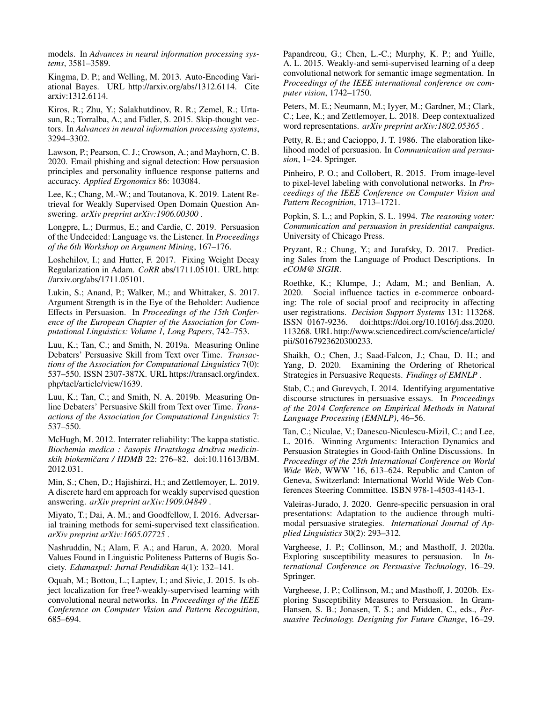models. In *Advances in neural information processing systems*, 3581–3589.

Kingma, D. P.; and Welling, M. 2013. Auto-Encoding Variational Bayes. URL http://arxiv.org/abs/1312.6114. Cite arxiv:1312.6114.

Kiros, R.; Zhu, Y.; Salakhutdinov, R. R.; Zemel, R.; Urtasun, R.; Torralba, A.; and Fidler, S. 2015. Skip-thought vectors. In *Advances in neural information processing systems*, 3294–3302.

Lawson, P.; Pearson, C. J.; Crowson, A.; and Mayhorn, C. B. 2020. Email phishing and signal detection: How persuasion principles and personality influence response patterns and accuracy. *Applied Ergonomics* 86: 103084.

Lee, K.; Chang, M.-W.; and Toutanova, K. 2019. Latent Retrieval for Weakly Supervised Open Domain Question Answering. *arXiv preprint arXiv:1906.00300* .

Longpre, L.; Durmus, E.; and Cardie, C. 2019. Persuasion of the Undecided: Language vs. the Listener. In *Proceedings of the 6th Workshop on Argument Mining*, 167–176.

Loshchilov, I.; and Hutter, F. 2017. Fixing Weight Decay Regularization in Adam. *CoRR* abs/1711.05101. URL http: //arxiv.org/abs/1711.05101.

Lukin, S.; Anand, P.; Walker, M.; and Whittaker, S. 2017. Argument Strength is in the Eye of the Beholder: Audience Effects in Persuasion. In *Proceedings of the 15th Conference of the European Chapter of the Association for Computational Linguistics: Volume 1, Long Papers*, 742–753.

Luu, K.; Tan, C.; and Smith, N. 2019a. Measuring Online Debaters' Persuasive Skill from Text over Time. *Transactions of the Association for Computational Linguistics* 7(0): 537–550. ISSN 2307-387X. URL https://transacl.org/index. php/tacl/article/view/1639.

Luu, K.; Tan, C.; and Smith, N. A. 2019b. Measuring Online Debaters' Persuasive Skill from Text over Time. *Transactions of the Association for Computational Linguistics* 7: 537–550.

McHugh, M. 2012. Interrater reliability: The kappa statistic. *Biochemia medica : casopis Hrvatskoga dru ˇ stva medicin- ˇ skih biokemicara / HDMB ˇ* 22: 276–82. doi:10.11613/BM. 2012.031.

Min, S.; Chen, D.; Hajishirzi, H.; and Zettlemoyer, L. 2019. A discrete hard em approach for weakly supervised question answering. *arXiv preprint arXiv:1909.04849* .

Miyato, T.; Dai, A. M.; and Goodfellow, I. 2016. Adversarial training methods for semi-supervised text classification. *arXiv preprint arXiv:1605.07725* .

Nashruddin, N.; Alam, F. A.; and Harun, A. 2020. Moral Values Found in Linguistic Politeness Patterns of Bugis Society. *Edumaspul: Jurnal Pendidikan* 4(1): 132–141.

Oquab, M.; Bottou, L.; Laptev, I.; and Sivic, J. 2015. Is object localization for free?-weakly-supervised learning with convolutional neural networks. In *Proceedings of the IEEE Conference on Computer Vision and Pattern Recognition*, 685–694.

Papandreou, G.; Chen, L.-C.; Murphy, K. P.; and Yuille, A. L. 2015. Weakly-and semi-supervised learning of a deep convolutional network for semantic image segmentation. In *Proceedings of the IEEE international conference on computer vision*, 1742–1750.

Peters, M. E.; Neumann, M.; Iyyer, M.; Gardner, M.; Clark, C.; Lee, K.; and Zettlemoyer, L. 2018. Deep contextualized word representations. *arXiv preprint arXiv:1802.05365* .

Petty, R. E.; and Cacioppo, J. T. 1986. The elaboration likelihood model of persuasion. In *Communication and persuasion*, 1–24. Springer.

Pinheiro, P. O.; and Collobert, R. 2015. From image-level to pixel-level labeling with convolutional networks. In *Proceedings of the IEEE Conference on Computer Vision and Pattern Recognition*, 1713–1721.

Popkin, S. L.; and Popkin, S. L. 1994. *The reasoning voter: Communication and persuasion in presidential campaigns*. University of Chicago Press.

Pryzant, R.; Chung, Y.; and Jurafsky, D. 2017. Predicting Sales from the Language of Product Descriptions. In *eCOM@ SIGIR*.

Roethke, K.; Klumpe, J.; Adam, M.; and Benlian, A. 2020. Social influence tactics in e-commerce onboarding: The role of social proof and reciprocity in affecting user registrations. *Decision Support Systems* 131: 113268. ISSN 0167-9236. doi:https://doi.org/10.1016/j.dss.2020. 113268. URL http://www.sciencedirect.com/science/article/ pii/S0167923620300233.

Shaikh, O.; Chen, J.; Saad-Falcon, J.; Chau, D. H.; and Yang, D. 2020. Examining the Ordering of Rhetorical Strategies in Persuasive Requests. *Findings of EMNLP* .

Stab, C.; and Gurevych, I. 2014. Identifying argumentative discourse structures in persuasive essays. In *Proceedings of the 2014 Conference on Empirical Methods in Natural Language Processing (EMNLP)*, 46–56.

Tan, C.; Niculae, V.; Danescu-Niculescu-Mizil, C.; and Lee, L. 2016. Winning Arguments: Interaction Dynamics and Persuasion Strategies in Good-faith Online Discussions. In *Proceedings of the 25th International Conference on World Wide Web*, WWW '16, 613–624. Republic and Canton of Geneva, Switzerland: International World Wide Web Conferences Steering Committee. ISBN 978-1-4503-4143-1.

Valeiras-Jurado, J. 2020. Genre-specific persuasion in oral presentations: Adaptation to the audience through multimodal persuasive strategies. *International Journal of Applied Linguistics* 30(2): 293–312.

Vargheese, J. P.; Collinson, M.; and Masthoff, J. 2020a. Exploring susceptibility measures to persuasion. In *International Conference on Persuasive Technology*, 16–29. Springer.

Vargheese, J. P.; Collinson, M.; and Masthoff, J. 2020b. Exploring Susceptibility Measures to Persuasion. In Gram-Hansen, S. B.; Jonasen, T. S.; and Midden, C., eds., *Persuasive Technology. Designing for Future Change*, 16–29.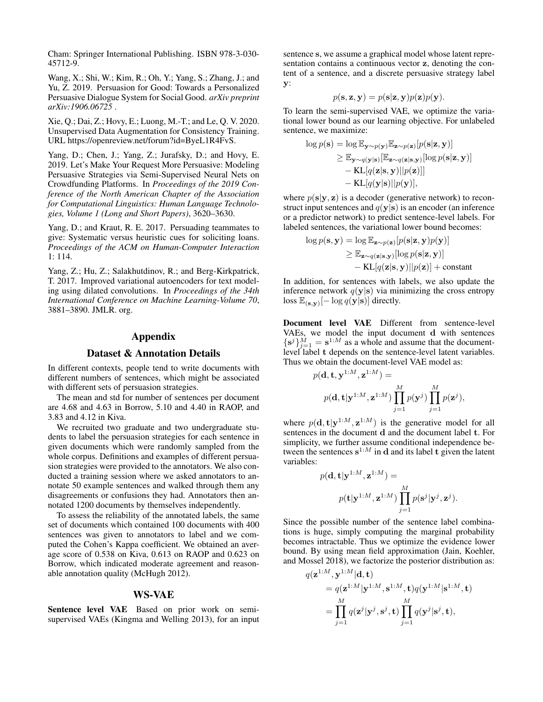Cham: Springer International Publishing. ISBN 978-3-030- 45712-9.

Wang, X.; Shi, W.; Kim, R.; Oh, Y.; Yang, S.; Zhang, J.; and Yu, Z. 2019. Persuasion for Good: Towards a Personalized Persuasive Dialogue System for Social Good. *arXiv preprint arXiv:1906.06725* .

Xie, Q.; Dai, Z.; Hovy, E.; Luong, M.-T.; and Le, Q. V. 2020. Unsupervised Data Augmentation for Consistency Training. URL https://openreview.net/forum?id=ByeL1R4FvS.

Yang, D.; Chen, J.; Yang, Z.; Jurafsky, D.; and Hovy, E. 2019. Let's Make Your Request More Persuasive: Modeling Persuasive Strategies via Semi-Supervised Neural Nets on Crowdfunding Platforms. In *Proceedings of the 2019 Conference of the North American Chapter of the Association for Computational Linguistics: Human Language Technologies, Volume 1 (Long and Short Papers)*, 3620–3630.

Yang, D.; and Kraut, R. E. 2017. Persuading teammates to give: Systematic versus heuristic cues for soliciting loans. *Proceedings of the ACM on Human-Computer Interaction* 1: 114.

Yang, Z.; Hu, Z.; Salakhutdinov, R.; and Berg-Kirkpatrick, T. 2017. Improved variational autoencoders for text modeling using dilated convolutions. In *Proceedings of the 34th International Conference on Machine Learning-Volume 70*, 3881–3890. JMLR. org.

# Appendix

#### Dataset & Annotation Details

In different contexts, people tend to write documents with different numbers of sentences, which might be associated with different sets of persuasion strategies.

The mean and std for number of sentences per document are 4.68 and 4.63 in Borrow, 5.10 and 4.40 in RAOP, and 3.83 and 4.12 in Kiva.

We recruited two graduate and two undergraduate students to label the persuasion strategies for each sentence in given documents which were randomly sampled from the whole corpus. Definitions and examples of different persuasion strategies were provided to the annotators. We also conducted a training session where we asked annotators to annotate 50 example sentences and walked through them any disagreements or confusions they had. Annotators then annotated 1200 documents by themselves independently.

To assess the reliability of the annotated labels, the same set of documents which contained 100 documents with 400 sentences was given to annotators to label and we computed the Cohen's Kappa coefficient. We obtained an average score of 0.538 on Kiva, 0.613 on RAOP and 0.623 on Borrow, which indicated moderate agreement and reasonable annotation quality (McHugh 2012).

### WS-VAE

Sentence level VAE Based on prior work on semisupervised VAEs (Kingma and Welling 2013), for an input sentence s, we assume a graphical model whose latent representation contains a continuous vector z, denoting the content of a sentence, and a discrete persuasive strategy label y:

$$
p(\mathbf{s}, \mathbf{z}, \mathbf{y}) = p(\mathbf{s}|\mathbf{z}, \mathbf{y})p(\mathbf{z})p(\mathbf{y}).
$$

To learn the semi-supervised VAE, we optimize the variational lower bound as our learning objective. For unlabeled sentence, we maximize:

$$
\log p(\mathbf{s}) = \log \mathbb{E}_{\mathbf{y} \sim p(\mathbf{y})} \mathbb{E}_{\mathbf{z} \sim p(\mathbf{z})} [p(\mathbf{s}|\mathbf{z}, \mathbf{y})] \n\geq \mathbb{E}_{\mathbf{y} \sim q(\mathbf{y}|\mathbf{s})} [\mathbb{E}_{\mathbf{z} \sim q(\mathbf{z}|\mathbf{s}, \mathbf{y})} [\log p(\mathbf{s}|\mathbf{z}, \mathbf{y})] \n- \text{KL}[q(\mathbf{z}|\mathbf{s}, \mathbf{y}) || p(\mathbf{z})]] \n- \text{KL}[q(\mathbf{y}|\mathbf{s}) || p(\mathbf{y})],
$$

where  $p(s|y, z)$  is a decoder (generative network) to reconstruct input sentences and  $q(y|s)$  is an encoder (an inference or a predictor network) to predict sentence-level labels. For labeled sentences, the variational lower bound becomes:

$$
\log p(\mathbf{s}, \mathbf{y}) = \log \mathbb{E}_{\mathbf{z} \sim p(\mathbf{z})} [p(\mathbf{s}|\mathbf{z}, \mathbf{y}) p(\mathbf{y})]
$$
  
\n
$$
\geq \mathbb{E}_{\mathbf{z} \sim q(\mathbf{z}|\mathbf{s}, \mathbf{y})} [\log p(\mathbf{s}|\mathbf{z}, \mathbf{y})]
$$
  
\n
$$
- \text{KL}[q(\mathbf{z}|\mathbf{s}, \mathbf{y}) || p(\mathbf{z})] + \text{constant}
$$

In addition, for sentences with labels, we also update the inference network  $q(y|s)$  via minimizing the cross entropy loss  $\mathbb{E}_{(\mathbf{s},\mathbf{y})}[-\log q(\mathbf{y}|\mathbf{s})]$  directly.

Document level VAE Different from sentence-level VAEs, we model the input document d with sentences  $\{s^j\}_{j=1}^M = s^{1:M}$  as a whole and assume that the documentlevel label t depends on the sentence-level latent variables. Thus we obtain the document-level VAE model as:

 $1.34 \t1.34$ 

$$
p(\mathbf{d}, \mathbf{t}, \mathbf{y}^{1:M}, \mathbf{z}^{1:M}) =
$$
  
 
$$
p(\mathbf{d}, \mathbf{t} | \mathbf{y}^{1:M}, \mathbf{z}^{1:M}) \prod_{j=1}^{M} p(\mathbf{y}^{j}) \prod_{j=1}^{M} p(\mathbf{z}^{j}),
$$

where  $p(\mathbf{d}, \mathbf{t} | \mathbf{y}^{1:M}, \mathbf{z}^{1:M})$  is the generative model for all sentences in the document d and the document label t. For simplicity, we further assume conditional independence between the sentences  $s^{1:M}$  in d and its label t given the latent variables:

$$
p(\mathbf{d}, \mathbf{t} | \mathbf{y}^{1:M}, \mathbf{z}^{1:M}) =
$$

$$
p(\mathbf{t} | \mathbf{y}^{1:M}, \mathbf{z}^{1:M}) \prod_{j=1}^{M} p(\mathbf{s}^{j} | \mathbf{y}^{j}, \mathbf{z}^{j}).
$$

Since the possible number of the sentence label combinations is huge, simply computing the marginal probability becomes intractable. Thus we optimize the evidence lower bound. By using mean field approximation (Jain, Koehler, and Mossel 2018), we factorize the posterior distribution as:

$$
q(\mathbf{z}^{1:M}, \mathbf{y}^{1:M}|\mathbf{d}, \mathbf{t})
$$
  
=  $q(\mathbf{z}^{1:M}|\mathbf{y}^{1:M}, \mathbf{s}^{1:M}, \mathbf{t})q(\mathbf{y}^{1:M}|\mathbf{s}^{1:M}, \mathbf{t})$   
= 
$$
\prod_{j=1}^{M} q(\mathbf{z}^{j}|\mathbf{y}^{j}, \mathbf{s}^{j}, \mathbf{t}) \prod_{j=1}^{M} q(\mathbf{y}^{j}|\mathbf{s}^{j}, \mathbf{t}),
$$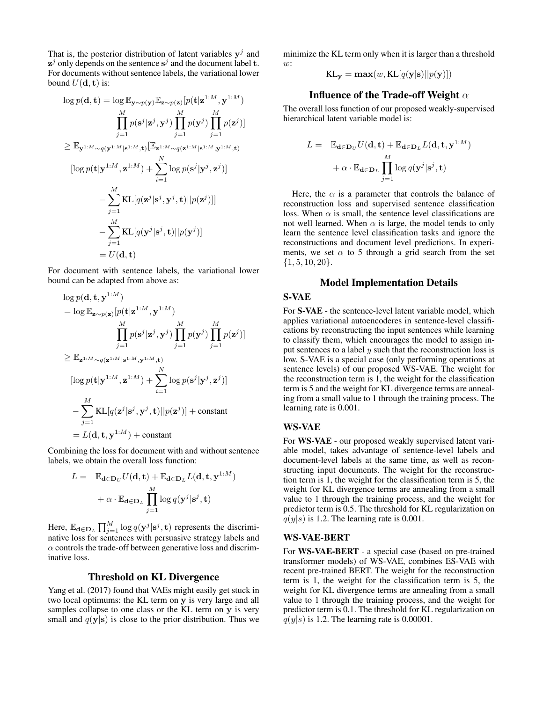That is, the posterior distribution of latent variables  $y^j$  and  $z^j$  only depends on the sentence  $s^j$  and the document label t. For documents without sentence labels, the variational lower bound  $U(\mathbf{d}, \mathbf{t})$  is:

$$
\log p(\mathbf{d}, \mathbf{t}) = \log \mathbb{E}_{\mathbf{y} \sim p(\mathbf{y})} \mathbb{E}_{\mathbf{z} \sim p(\mathbf{z})} [p(\mathbf{t}|\mathbf{z}^{1:M}, \mathbf{y}^{1:M})
$$
\n
$$
\prod_{j=1}^{M} p(\mathbf{s}^{j}|\mathbf{z}^{j}, \mathbf{y}^{j}) \prod_{j=1}^{M} p(\mathbf{y}^{j}) \prod_{j=1}^{M} p(\mathbf{z}^{j})]
$$
\n
$$
\geq \mathbb{E}_{\mathbf{y}^{1:M} \sim q(\mathbf{y}^{1:M}|\mathbf{s}^{1:M}, \mathbf{t})} [\mathbb{E}_{\mathbf{z}^{1:M} \sim q(\mathbf{z}^{1:M}|\mathbf{s}^{1:M}, \mathbf{y}^{1:M}, \mathbf{t})]
$$
\n
$$
[\log p(\mathbf{t}|\mathbf{y}^{1:M}, \mathbf{z}^{1:M}) + \sum_{i=1}^{N} \log p(\mathbf{s}^{j}|\mathbf{y}^{j}, \mathbf{z}^{j})]
$$
\n
$$
- \sum_{j=1}^{M} \text{KL}[q(\mathbf{z}^{j}|\mathbf{s}^{j}, \mathbf{y}^{j}, \mathbf{t}) || p(\mathbf{z}^{j})]]
$$
\n
$$
- \sum_{j=1}^{M} \text{KL}[q(\mathbf{y}^{j}|\mathbf{s}^{j}, \mathbf{t}) || p(\mathbf{y}^{j})]
$$
\n
$$
= U(\mathbf{d}, \mathbf{t})
$$

For document with sentence labels, the variational lower bound can be adapted from above as:

$$
\log p(\mathbf{d}, \mathbf{t}, \mathbf{y}^{1:M})
$$
\n
$$
= \log \mathbb{E}_{\mathbf{z} \sim p(\mathbf{z})} [p(\mathbf{t}|\mathbf{z}^{1:M}, \mathbf{y}^{1:M})
$$
\n
$$
\prod_{j=1}^{M} p(\mathbf{s}^{j}|\mathbf{z}^{j}, \mathbf{y}^{j}) \prod_{j=1}^{M} p(\mathbf{y}^{j}) \prod_{j=1}^{M} p(\mathbf{z}^{j})]
$$
\n
$$
\geq \mathbb{E}_{\mathbf{z}^{1:M} \sim q(\mathbf{z}^{1:M}|\mathbf{s}^{1:M}, \mathbf{y}^{1:M}, \mathbf{t})}
$$
\n
$$
[\log p(\mathbf{t}|\mathbf{y}^{1:M}, \mathbf{z}^{1:M}) + \sum_{i=1}^{N} \log p(\mathbf{s}^{j}|\mathbf{y}^{j}, \mathbf{z}^{j})]
$$
\n
$$
- \sum_{j=1}^{M} \text{KL}[q(\mathbf{z}^{j}|\mathbf{s}^{j}, \mathbf{y}^{j}, \mathbf{t}) || p(\mathbf{z}^{j})] + \text{constant}
$$
\n
$$
= L(\mathbf{d}, \mathbf{t}, \mathbf{y}^{1:M}) + \text{constant}
$$

Combining the loss for document with and without sentence labels, we obtain the overall loss function:

$$
L = \mathbb{E}_{\mathbf{d} \in \mathbf{D}_U} U(\mathbf{d}, \mathbf{t}) + \mathbb{E}_{\mathbf{d} \in \mathbf{D}_L} L(\mathbf{d}, \mathbf{t}, \mathbf{y}^{1:M})
$$

$$
+ \alpha \cdot \mathbb{E}_{\mathbf{d} \in \mathbf{D}_L} \prod_{j=1}^M \log q(\mathbf{y}^j | \mathbf{s}^j, \mathbf{t})
$$

Here,  $\mathbb{E}_{\mathbf{d}\in \mathbf{D}_L} \prod_{j=1}^M \log q(\mathbf{y}^j | \mathbf{s}^j, \mathbf{t})$  represents the discriminative loss for sentences with persuasive strategy labels and  $\alpha$  controls the trade-off between generative loss and discriminative loss.

#### Threshold on KL Divergence

Yang et al. (2017) found that VAEs might easily get stuck in two local optimums: the KL term on y is very large and all samples collapse to one class or the KL term on y is very small and  $q(y|s)$  is close to the prior distribution. Thus we minimize the KL term only when it is larger than a threshold  $\overline{w}$ :

$$
KL_{\mathbf{y}} = \max(w, KL[q(\mathbf{y}|\mathbf{s})||p(\mathbf{y})])
$$

# Influence of the Trade-off Weight  $\alpha$

The overall loss function of our proposed weakly-supervised hierarchical latent variable model is:

$$
L = \mathbb{E}_{\mathbf{d} \in \mathbf{D}_U} U(\mathbf{d}, \mathbf{t}) + \mathbb{E}_{\mathbf{d} \in \mathbf{D}_L} L(\mathbf{d}, \mathbf{t}, \mathbf{y}^{1:M})
$$

$$
+ \alpha \cdot \mathbb{E}_{\mathbf{d} \in \mathbf{D}_L} \prod_{j=1}^M \log q(\mathbf{y}^j | \mathbf{s}^j, \mathbf{t})
$$

Here, the  $\alpha$  is a parameter that controls the balance of reconstruction loss and supervised sentence classification loss. When  $\alpha$  is small, the sentence level classifications are not well learned. When  $\alpha$  is large, the model tends to only learn the sentence level classification tasks and ignore the reconstructions and document level predictions. In experiments, we set  $\alpha$  to 5 through a grid search from the set  $\{1, 5, 10, 20\}.$ 

# Model Implementation Details

# S-VAE

For S-VAE - the sentence-level latent variable model, which applies variational autoencoderes in sentence-level classifications by reconstructing the input sentences while learning to classify them, which encourages the model to assign input sentences to a label  $y$  such that the reconstruction loss is low. S-VAE is a special case (only performing operations at sentence levels) of our proposed WS-VAE. The weight for the reconstruction term is 1, the weight for the classification term is 5 and the weight for KL divergence terms are annealing from a small value to 1 through the training process. The learning rate is 0.001.

### WS-VAE

For WS-VAE - our proposed weakly supervised latent variable model, takes advantage of sentence-level labels and document-level labels at the same time, as well as reconstructing input documents. The weight for the reconstruction term is 1, the weight for the classification term is 5, the weight for KL divergence terms are annealing from a small value to 1 through the training process, and the weight for predictor term is 0.5. The threshold for KL regularization on  $q(y|s)$  is 1.2. The learning rate is 0.001.

#### WS-VAE-BERT

For WS-VAE-BERT - a special case (based on pre-trained transformer models) of WS-VAE, combines ES-VAE with recent pre-trained BERT. The weight for the reconstruction term is 1, the weight for the classification term is 5, the weight for KL divergence terms are annealing from a small value to 1 through the training process, and the weight for predictor term is 0.1. The threshold for KL regularization on  $q(y|s)$  is 1.2. The learning rate is 0.00001.